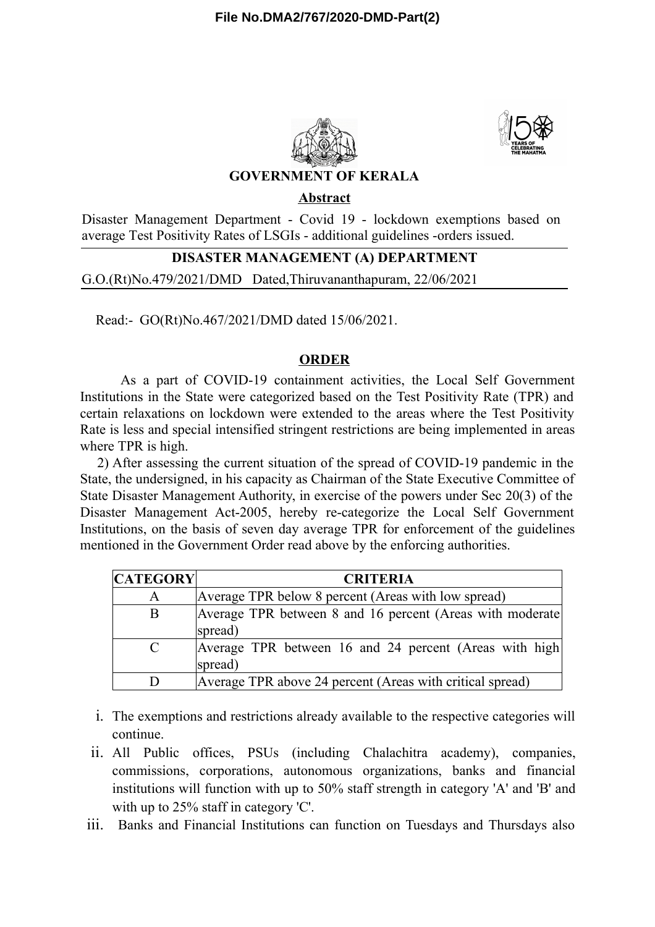



# **GOVERNMENT OF KERALA**

### **Abstract**

Disaster Management Department - Covid 19 - lockdown exemptions based on average Test Positivity Rates of LSGIs - additional guidelines -orders issued.

### **DISASTER MANAGEMENT (A) DEPARTMENT**

G.O.(Rt)No.479/2021/DMD Dated,Thiruvananthapuram, 22/06/2021

Read:- GO(Rt)No.467/2021/DMD dated 15/06/2021.

### **ORDER**

As a part of COVID-19 containment activities, the Local Self Government Institutions in the State were categorized based on the Test Positivity Rate (TPR) and certain relaxations on lockdown were extended to the areas where the Test Positivity Rate is less and special intensified stringent restrictions are being implemented in areas where TPR is high.

2) After assessing the current situation of the spread of COVID-19 pandemic in the State, the undersigned, in his capacity as Chairman of the State Executive Committee of State Disaster Management Authority, in exercise of the powers under Sec 20(3) of the Disaster Management Act-2005, hereby re-categorize the Local Self Government Institutions, on the basis of seven day average TPR for enforcement of the guidelines mentioned in the Government Order read above by the enforcing authorities.

| <b>CATEGORY</b> | <b>CRITERIA</b>                                                      |
|-----------------|----------------------------------------------------------------------|
| A               | Average TPR below 8 percent (Areas with low spread)                  |
| B               | Average TPR between 8 and 16 percent (Areas with moderate<br>spread) |
| $\mathcal{C}$   | Average TPR between 16 and 24 percent (Areas with high)<br>spread)   |
| Ð               | Average TPR above 24 percent (Areas with critical spread)            |

i. The exemptions and restrictions already available to the respective categories will continue.

- ii. All Public offices, PSUs (including Chalachitra academy), companies, commissions, corporations, autonomous organizations, banks and financial institutions will function with up to 50% staff strength in category 'A' and 'B' and with up to 25% staff in category 'C'.
- iii. Banks and Financial Institutions can function on Tuesdays and Thursdays also